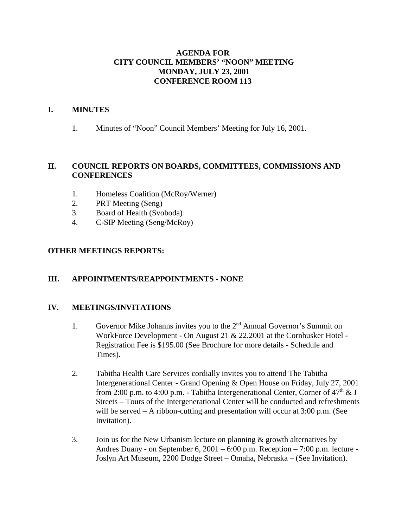### **AGENDA FOR CITY COUNCIL MEMBERS' "NOON" MEETING MONDAY, JULY 23, 2001 CONFERENCE ROOM 113**

### **I. MINUTES**

1. Minutes of "Noon" Council Members' Meeting for July 16, 2001.

### **II. COUNCIL REPORTS ON BOARDS, COMMITTEES, COMMISSIONS AND CONFERENCES**

- 1. Homeless Coalition (McRoy/Werner)
- 2. PRT Meeting (Seng)
- 3. Board of Health (Svoboda)
- 4. C-SIP Meeting (Seng/McRoy)

### **OTHER MEETINGS REPORTS:**

### **III. APPOINTMENTS/REAPPOINTMENTS - NONE**

#### **IV. MEETINGS/INVITATIONS**

- 1. Governor Mike Johanns invites you to the 2<sup>nd</sup> Annual Governor's Summit on WorkForce Development - On August 21 & 22,2001 at the Cornhusker Hotel - Registration Fee is \$195.00 (See Brochure for more details - Schedule and Times).
- 2. Tabitha Health Care Services cordially invites you to attend The Tabitha Intergenerational Center - Grand Opening & Open House on Friday, July 27, 2001 from 2:00 p.m. to 4:00 p.m. - Tabitha Intergenerational Center, Corner of  $47<sup>th</sup> \& J$ Streets – Tours of the Intergenerational Center will be conducted and refreshments will be served – A ribbon-cutting and presentation will occur at 3:00 p.m. (See Invitation).
- 3. Join us for the New Urbanism lecture on planning & growth alternatives by Andres Duany - on September 6, 2001 – 6:00 p.m. Reception – 7:00 p.m. lecture - Joslyn Art Museum, 2200 Dodge Street – Omaha, Nebraska – (See Invitation).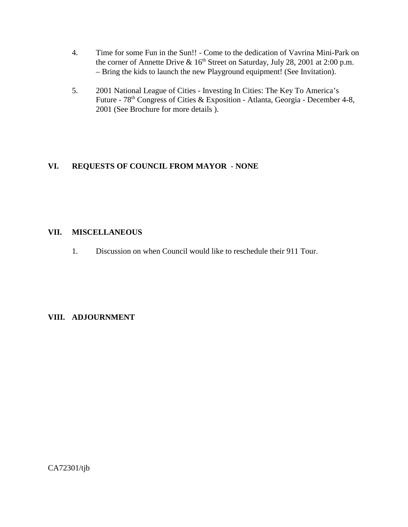- 4. Time for some Fun in the Sun!! Come to the dedication of Vavrina Mini-Park on the corner of Annette Drive &  $16<sup>th</sup>$  Street on Saturday, July 28, 2001 at 2:00 p.m. – Bring the kids to launch the new Playground equipment! (See Invitation).
- 5. 2001 National League of Cities Investing In Cities: The Key To America's Future - 78<sup>th</sup> Congress of Cities & Exposition - Atlanta, Georgia - December 4-8, 2001 (See Brochure for more details ).

# **VI. REQUESTS OF COUNCIL FROM MAYOR** - **NONE**

### **VII. MISCELLANEOUS**

1. Discussion on when Council would like to reschedule their 911 Tour.

# **VIII. ADJOURNMENT**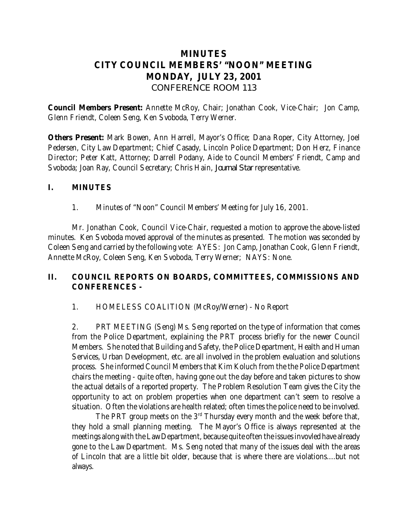# **MINUTES CITY COUNCIL MEMBERS' "NOON" MEETING MONDAY, JULY 23, 2001** *CONFERENCE ROOM 113*

**Council Members Present:** Annette McRoy, Chair; Jonathan Cook, Vice-Chair; Jon Camp, Glenn Friendt, Coleen Seng, Ken Svoboda, Terry Werner.

**Others Present:** Mark Bowen, Ann Harrell, Mayor's Office; Dana Roper, City Attorney, Joel Pedersen, City Law Department; Chief Casady, Lincoln Police Department; Don Herz, Finance Director; Peter Katt, Attorney; Darrell Podany, Aide to Council Members' Friendt, Camp and Svoboda; Joan Ray, Council Secretary; Chris Hain, *Journal Star* representative.

### **I. MINUTES**

1. Minutes of "Noon" Council Members' Meeting for July 16, 2001.

 Mr. Jonathan Cook, Council Vice-Chair, requested a motion to approve the above-listed minutes. Ken Svoboda moved approval of the minutes as presented. The motion was seconded by Coleen Seng and carried by the following vote: AYES: Jon Camp, Jonathan Cook, Glenn Friendt, Annette McRoy, Coleen Seng, Ken Svoboda, Terry Werner; NAYS: None.

# **II. COUNCIL REPORTS ON BOARDS, COMMITTEES, COMMISSIONS AND CONFERENCES -**

1. HOMELESS COALITION (McRoy/Werner) - No Report

2. PRT MEETING (Seng) Ms. Seng reported on the type of information that comes from the Police Department, explaining the PRT process briefly for the newer Council Members. She noted that Building and Safety, the Police Department, Health and Human Services, Urban Development, etc. are all involved in the problem evaluation and solutions process. She informed Council Members that Kim Koluch from the the Police Department chairs the meeting - quite often, having gone out the day before and taken pictures to show the actual details of a reported property. The Problem Resolution Team gives the City the opportunity to act on problem properties when one department can't seem to resolve a situation. Often the violations are health related; often times the police need to be involved.

The PRT group meets on the  $3<sup>rd</sup>$  Thursday every month and the week before that, they hold a small planning meeting. The Mayor's Office is always represented at the meetings along with the Law Department, because quite often the issues invovled have already gone to the Law Department. Ms. Seng noted that many of the issues deal with the areas of Lincoln that are a little bit older, because that is where there are violations....but not always.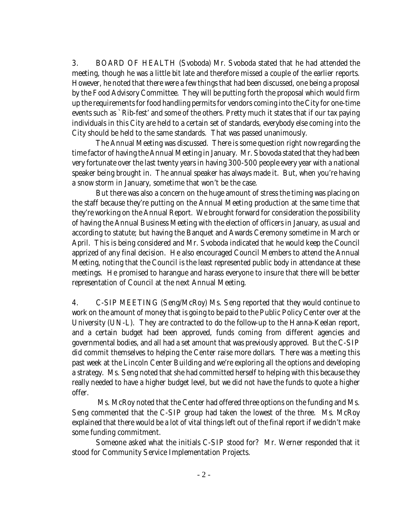3. BOARD OF HEALTH (Svoboda) Mr. Svoboda stated that he had attended the meeting, though he was a little bit late and therefore missed a couple of the earlier reports. However, he noted that there were a few things that had been discussed, one being a proposal by the Food Advisory Committee. They will be putting forth the proposal which would firm up the requirements for food handling permits for vendors coming into the City for one-time events such as `Rib-fest' and some of the others. Pretty much it states that if our tax paying individuals in this City are held to a certain set of standards, everybody else coming into the City should be held to the same standards. That was passed unanimously.

The Annual Meeting was discussed. There is some question right now regarding the time factor of having the Annual Meeting in January. Mr. Sbovoda stated that they had been very fortunate over the last twenty years in having 300-500 people every year with a national speaker being brought in. The annual speaker has always made it. But, when you're having a snow storm in January, sometime that won't be the case.

But there was also a concern on the huge amount of stress the timing was placing on the staff because they're putting on the Annual Meeting production at the same time that they're working on the Annual Report. We brought forward for consideration the possibility of having the Annual Business Meeting with the election of officers in January, as usual and according to statute; but having the Banquet and Awards Ceremony sometime in March or April. This is being considered and Mr. Svoboda indicated that he would keep the Council apprized of any final decision. He also encouraged Council Members to attend the Annual Meeting, noting that the Council is the least represented public body in attendance at these meetings. He promised to harangue and harass everyone to insure that there will be better representation of Council at the next Annual Meeting.

4. C-SIP MEETING (Seng/McRoy) Ms. Seng reported that they would continue to work on the amount of money that is going to be paid to the Public Policy Center over at the University (UN-L). They are contracted to do the follow-up to the Hanna-Keelan report, and a certain budget had been approved, funds coming from different agencies and governmental bodies, and all had a set amount that was previously approved. But the C-SIP did commit themselves to helping the Center raise more dollars. There was a meeting this past week at the Lincoln Center Building and we're exploring all the options and developing a strategy. Ms. Seng noted that she had committed herself to helping with this because they really needed to have a higher budget level, but we did not have the funds to quote a higher offer.

 Ms. McRoy noted that the Center had offered three options on the funding and Ms. Seng commented that the C-SIP group had taken the lowest of the three. Ms. McRoy explained that there would be a lot of vital things left out of the final report if we didn't make some funding commitment.

Someone asked what the initials C-SIP stood for? Mr. Werner responded that it stood for Community Service Implementation Projects.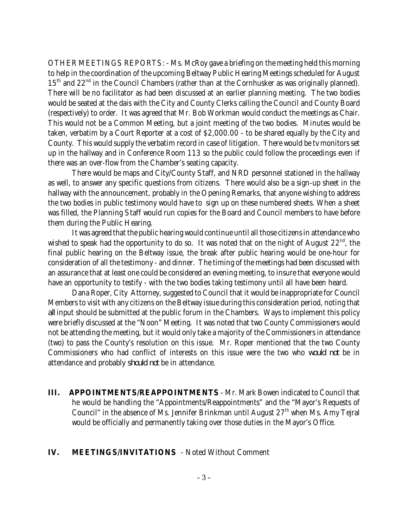OTHER MEETINGS REPORTS: - Ms. McRoy gave a briefing on the meeting held this morning to help in the coordination of the upcoming Beltway Public Hearing Meetings scheduled for August 15<sup>th</sup> and 22<sup>nd</sup> in the Council Chambers (rather than at the Cornhusker as was originally planned). There will be no facilitator as had been discussed at an earlier planning meeting. The two bodies would be seated at the dais with the City and County Clerks calling the Council and County Board (respectively) to order. It was agreed that Mr. Bob Workman would conduct the meetings as Chair. This would not be a Common Meeting, but a joint meeting of the two bodies. Minutes would be taken, verbatim by a Court Reporter at a cost of \$2,000.00 - to be shared equally by the City and County. This would supply the verbatim record in case of litigation. There would be tv monitors set up in the hallway and in Conference Room 113 so the public could follow the proceedings even if there was an over-flow from the Chamber's seating capacity.

There would be maps and City/County Staff, and NRD personnel stationed in the hallway as well, to answer any specific questions from citizens. There would also be a sign-up sheet in the hallway with the announcement, probably in the Opening Remarks, that anyone wishing to address the two bodies in public testimony would have to sign up on these numbered sheets. When a sheet was filled, the Planning Staff would run copies for the Board and Council members to have before them during the Public Hearing.

It was agreed that the public hearing would continue until all those citizens in attendance who wished to speak had the opportunity to do so. It was noted that on the night of August  $22<sup>nd</sup>$ , the final public hearing on the Beltway issue, the break after public hearing would be one-hour for consideration of all the testimony - and dinner. The timing of the meetings had been discussed with an assurance that at least one could be considered an evening meeting, to insure that everyone would have an opportunity to testify - with the two bodies taking testimony until all have been heard.

Dana Roper, City Attorney, suggested to Council that it would be inappropriate for Council Members to visit with any citizens on the Beltway issue during this consideration period, noting that *all* input should be submitted at the public forum in the Chambers. Ways to implement this policy were briefly discussed at the "Noon" Meeting. It was noted that two County Commissioners would not be attending the meeting, but it would only take a majority of the Commissioners in attendance (two) to pass the County's resolution on this issue. Mr. Roper mentioned that the two County Commissioners who had conflict of interests on this issue were the two who *would not* be in attendance and probably *should not* be in attendance.

**III. APPOINTMENTS/REAPPOINTMENTS** - Mr. Mark Bowen indicated to Council that he would be handling the "Appointments/Reappointments" and the "Mayor's Requests of Council" in the absence of Ms. Jennifer Brinkman until August  $27<sup>th</sup>$  when Ms. Amy Tejral would be officially and permanently taking over those duties in the Mayor's Office.

#### **IV. MEETINGS/INVITATIONS** - Noted Without Comment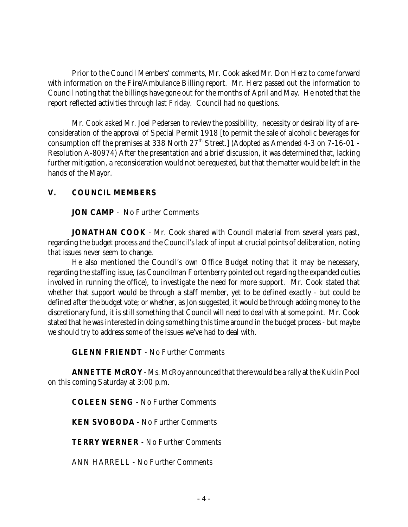Prior to the Council Members' comments, Mr. Cook asked Mr. Don Herz to come forward with information on the Fire/Ambulance Billing report. Mr. Herz passed out the information to Council noting that the billings have gone out for the months of April and May. He noted that the report reflected activities through last Friday. Council had no questions.

Mr. Cook asked Mr. Joel Pedersen to review the possibility, necessity or desirability of a reconsideration of the approval of Special Permit 1918 [to permit the sale of alcoholic beverages for consumption off the premises at 338 North 27<sup>th</sup> Street.] (Adopted as Amended 4-3 on 7-16-01 -Resolution A-80974) After the presentation and a brief discussion, it was determined that, lacking further mitigation, a reconsideration would not be requested, but that the matter would be left in the hands of the Mayor.

# **V. COUNCIL MEMBERS**

**JON CAMP** - No Further Comments

**JONATHAN COOK** - Mr. Cook shared with Council material from several years past, regarding the budget process and the Council's lack of input at crucial points of deliberation, noting that issues never seem to change.

He also mentioned the Council's own Office Budget noting that it may be necessary, regarding the staffing issue, (as Councilman Fortenberry pointed out regarding the expanded duties involved in running the office), to investigate the need for more support. Mr. Cook stated that whether that support would be through a staff member, yet to be defined exactly - but could be defined after the budget vote; or whether, as Jon suggested, it would be through adding money to the discretionary fund, it is still something that Council will need to deal with at some point. Mr. Cook stated that he was interested in doing something this time around in the budget process - but maybe we should try to address some of the issues we've had to deal with.

**GLENN FRIENDT** - No Further Comments

**ANNETTE McROY** - Ms. McRoy announced that there would be a rally at the Kuklin Pool on this coming Saturday at 3:00 p.m.

**COLEEN SENG** - No Further Comments

**KEN SVOBODA** - No Further Comments

**TERRY WERNER** - No Further Comments

ANN HARRELL - No Further Comments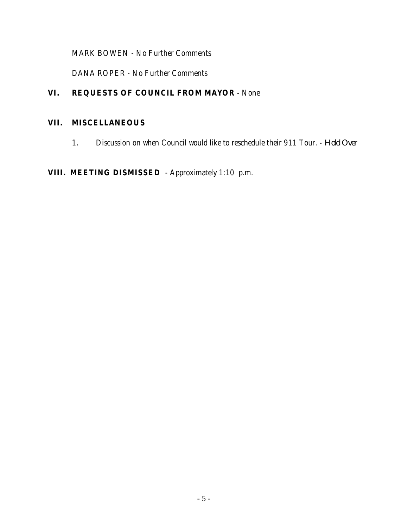MARK BOWEN - No Further Comments

DANA ROPER - No Further Comments

# **VI. REQUESTS OF COUNCIL FROM MAYOR** - None

# **VII. MISCELLANEOUS**

1. Discussion on when Council would like to reschedule their 911 Tour. - *Hold Over*

# **VIII. MEETING DISMISSED** - Approximately 1:10 p.m.